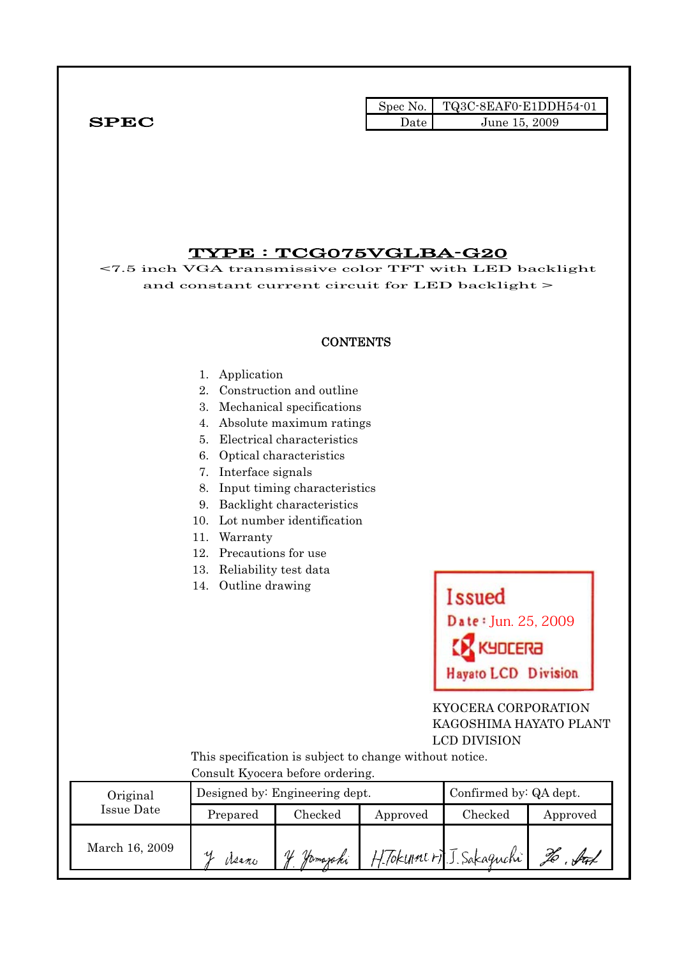|              |      | Spec No. $\vert$ TQ3C-8EAF0-E1DDH54-01 |
|--------------|------|----------------------------------------|
| ${\bf SPEC}$ | Date | June 15, 2009                          |

# TYPE : TCG075VGLBA-G20

<7.5 inch VGA transmissive color TFT with LED backlight and constant current circuit for LED backlight >

### **CONTENTS**

#### 1. Application

- 2. Construction and outline
- 3. Mechanical specifications
- 4. Absolute maximum ratings
- 5. Electrical characteristics
- 6. Optical characteristics
- 7. Interface signals
- 8. Input timing characteristics
- 9. Backlight characteristics
- 10. Lot number identification
- 11. Warranty
- 12. Precautions for use
- 13. Reliability test data
- 14. Outline drawing



# KYOCERA CORPORATION KAGOSHIMA HAYATO PLANT LCD DIVISION

 This specification is subject to change without notice. Consult Kyocera before ordering.

| Original       | Designed by: Engineering dept. | Confirmed by: QA dept. |          |                          |          |
|----------------|--------------------------------|------------------------|----------|--------------------------|----------|
| Issue Date     | Prepared                       | Checked                | Approved | Checked                  | Approved |
| March 16, 2009 | Mano                           | 1L<br>Homaphi          |          | H. Tokumi H J. Sakaguchi | fret     |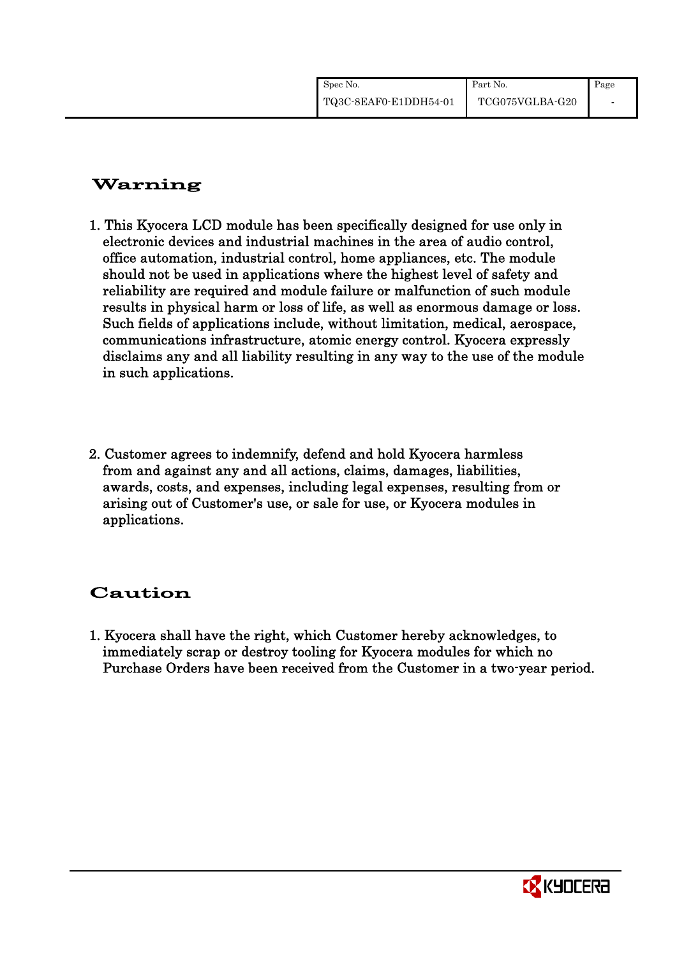| Spec No.              | Part No.        | Page |
|-----------------------|-----------------|------|
| TQ3C-8EAF0-E1DDH54-01 | TCG075VGLBA-G20 |      |

# Warning

- 1. This Kyocera LCD module has been specifically designed for use only in electronic devices and industrial machines in the area of audio control, office automation, industrial control, home appliances, etc. The module should not be used in applications where the highest level of safety and reliability are required and module failure or malfunction of such module results in physical harm or loss of life, as well as enormous damage or loss. Such fields of applications include, without limitation, medical, aerospace, communications infrastructure, atomic energy control. Kyocera expressly disclaims any and all liability resulting in any way to the use of the module in such applications.
- 2. Customer agrees to indemnify, defend and hold Kyocera harmless from and against any and all actions, claims, damages, liabilities, awards, costs, and expenses, including legal expenses, resulting from or arising out of Customer's use, or sale for use, or Kyocera modules in applications.

# Caution

1. Kyocera shall have the right, which Customer hereby acknowledges, to immediately scrap or destroy tooling for Kyocera modules for which no Purchase Orders have been received from the Customer in a two-year period.

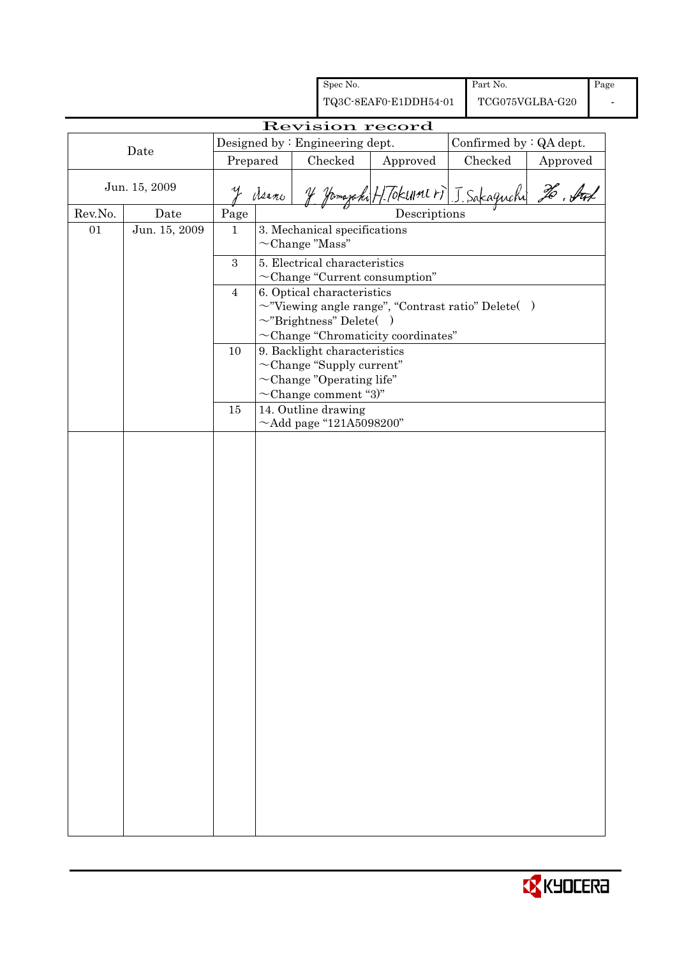|         |               |                  |                                 |  | Spec No.                                                       |                                                         | Part No.        |                         | Page |
|---------|---------------|------------------|---------------------------------|--|----------------------------------------------------------------|---------------------------------------------------------|-----------------|-------------------------|------|
|         |               |                  |                                 |  |                                                                | TQ3C-8EAF0-E1DDH54-01                                   | TCG075VGLBA-G20 |                         |      |
|         |               |                  |                                 |  |                                                                | Revision record                                         |                 |                         |      |
|         | Date          |                  | Designed by : Engineering dept. |  |                                                                |                                                         |                 | Confirmed by : QA dept. |      |
|         |               | Prepared         |                                 |  | Checked                                                        | Approved                                                | Checked         | Approved                |      |
|         | Jun. 15, 2009 |                  | Asano                           |  |                                                                | y Jomaraki H. Tokurni 1) J. Sakaguchi 26. Auf           |                 |                         |      |
| Rev.No. | Date          | $\rm Page$       |                                 |  |                                                                | Descriptions                                            |                 |                         |      |
| 01      | Jun. 15, 2009 | $\mathbf{1}$     |                                 |  | 3. Mechanical specifications<br>$\sim$ Change "Mass"           |                                                         |                 |                         |      |
|         |               | $\boldsymbol{3}$ |                                 |  | 5. Electrical characteristics                                  | $\sim$ Change "Current consumption"                     |                 |                         |      |
|         |               | $\overline{4}$   |                                 |  | 6. Optical characteristics<br>$\sim$ "Brightness" Delete()     | $\sim$ "Viewing angle range", "Contrast ratio" Delete() |                 |                         |      |
|         |               |                  |                                 |  |                                                                | $\sim$ Change "Chromaticity coordinates"                |                 |                         |      |
|         |               | 10               |                                 |  | 9. Backlight characteristics<br>$\sim$ Change "Supply current" |                                                         |                 |                         |      |
|         |               |                  |                                 |  | $\sim$ Change "Operating life"                                 |                                                         |                 |                         |      |
|         |               |                  |                                 |  | $\sim$ Change comment "3)"                                     |                                                         |                 |                         |      |
|         |               | $15\,$           |                                 |  | 14. Outline drawing<br>$~\sim$ Add page "121A5098200"          |                                                         |                 |                         |      |
|         |               |                  |                                 |  |                                                                |                                                         |                 |                         |      |
|         |               |                  |                                 |  |                                                                |                                                         |                 |                         |      |
|         |               |                  |                                 |  |                                                                |                                                         |                 |                         |      |
|         |               |                  |                                 |  |                                                                |                                                         |                 |                         |      |
|         |               |                  |                                 |  |                                                                |                                                         |                 |                         |      |
|         |               |                  |                                 |  |                                                                |                                                         |                 |                         |      |
|         |               |                  |                                 |  |                                                                |                                                         |                 |                         |      |
|         |               |                  |                                 |  |                                                                |                                                         |                 |                         |      |
|         |               |                  |                                 |  |                                                                |                                                         |                 |                         |      |
|         |               |                  |                                 |  |                                                                |                                                         |                 |                         |      |
|         |               |                  |                                 |  |                                                                |                                                         |                 |                         |      |
|         |               |                  |                                 |  |                                                                |                                                         |                 |                         |      |
|         |               |                  |                                 |  |                                                                |                                                         |                 |                         |      |
|         |               |                  |                                 |  |                                                                |                                                         |                 |                         |      |
|         |               |                  |                                 |  |                                                                |                                                         |                 |                         |      |
|         |               |                  |                                 |  |                                                                |                                                         |                 |                         |      |
|         |               |                  |                                 |  |                                                                |                                                         |                 |                         |      |
|         |               |                  |                                 |  |                                                                |                                                         |                 |                         |      |
|         |               |                  |                                 |  |                                                                |                                                         |                 |                         |      |
|         |               |                  |                                 |  |                                                                |                                                         |                 |                         |      |
|         |               |                  |                                 |  |                                                                |                                                         |                 |                         |      |
|         |               |                  |                                 |  |                                                                |                                                         |                 |                         |      |
|         |               |                  |                                 |  |                                                                |                                                         |                 |                         |      |

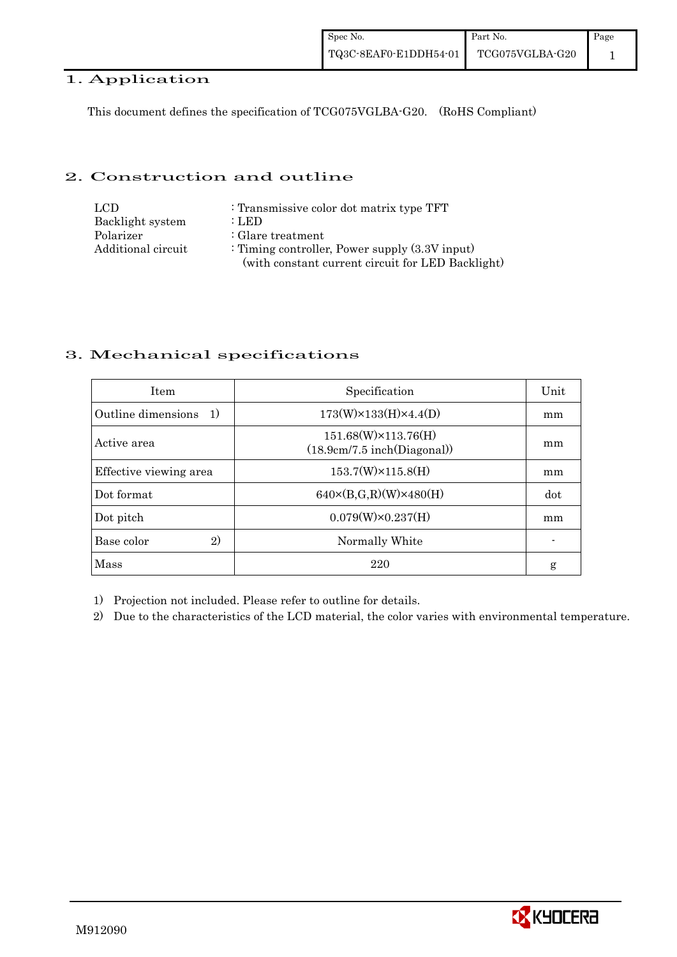# 1. Application

This document defines the specification of TCG075VGLBA-G20. (RoHS Compliant)

# 2. Construction and outline

| LCD.               | : Transmissive color dot matrix type TFT          |
|--------------------|---------------------------------------------------|
| Backlight system   | : LED                                             |
| Polarizer          | $\therefore$ Glare treatment                      |
| Additional circuit | : Timing controller, Power supply $(3.3V)$ input) |
|                    | (with constant current circuit for LED Backlight) |

# 3. Mechanical specifications

| <b>Item</b>                | Specification                                              | Unit |
|----------------------------|------------------------------------------------------------|------|
| Outline dimensions<br>- 1) | $173(W) \times 133(H) \times 4.4(D)$                       | mm   |
| Active area                | $151.68(W)\times 113.76(H)$<br>(18.9cm/7.5 inch(Diagonal)) | mm   |
| Effective viewing area     | $153.7(W)\times 115.8(H)$                                  | mm   |
| Dot format                 | $640 \times (B,G,R)(W) \times 480(H)$                      | dot  |
| Dot pitch                  | $0.079(W) \times 0.237(H)$                                 | mm   |
| 2)<br>Base color           | Normally White                                             |      |
| Mass                       | 220                                                        | g    |

1) Projection not included. Please refer to outline for details.

2) Due to the characteristics of the LCD material, the color varies with environmental temperature.

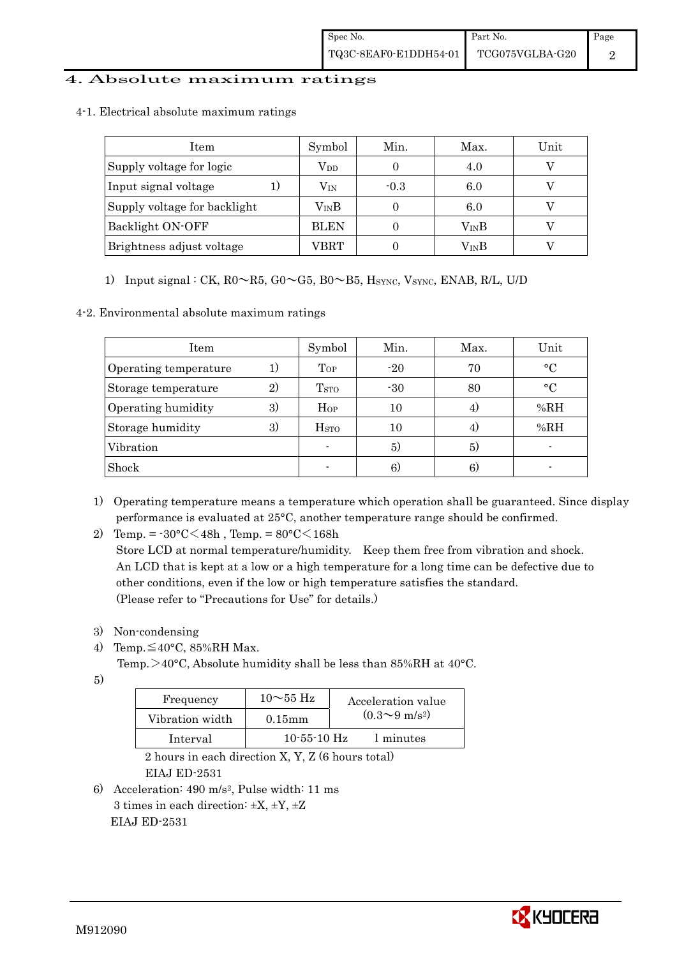## 4. Absolute maximum ratings

4-1. Electrical absolute maximum ratings

| Item                         | Symbol        | Min.   | Max.          | Unit |
|------------------------------|---------------|--------|---------------|------|
| Supply voltage for logic     | $\rm V_{DD}$  |        | 4.0           |      |
| Input signal voltage         | $\rm V_{IN}$  | $-0.3$ | 6.0           |      |
| Supply voltage for backlight | $\rm V_{IN}B$ |        | 6.0           |      |
| Backlight ON-OFF             | <b>BLEN</b>   |        | $\rm V_{IN}B$ |      |
| Brightness adjust voltage    | ${\rm VBRT}$  |        | $\rm V_{IN}B$ |      |

1) Input signal : CK,  $R0 \sim R5$ ,  $G0 \sim G5$ ,  $B0 \sim B5$ ,  $H<sub>SYNC</sub>$ ,  $V<sub>SYNC</sub>$ ,  $ENAB$ ,  $R/L$ ,  $U/D$ 

# 4-2. Environmental absolute maximum ratings

| Item                  |    | Symbol                  | Min.  | Max. | Unit         |
|-----------------------|----|-------------------------|-------|------|--------------|
| Operating temperature |    | Top                     | $-20$ | 70   | $^{\circ}C$  |
| Storage temperature   | 2) | <b>T</b> <sub>STO</sub> | $-30$ | 80   | $^{\circ}$ C |
| Operating humidity    | 3) | Hop                     | 10    | 4,   | %RH          |
| Storage humidity      | 3) | <b>H</b> <sub>sto</sub> | 10    | 4,   | %RH          |
| Vibration             |    |                         | 5)    | 5)   |              |
| Shock                 |    |                         | 6)    | 6)   |              |

- 1) Operating temperature means a temperature which operation shall be guaranteed. Since display performance is evaluated at 25°C, another temperature range should be confirmed.
- 2) Temp. =  $-30^{\circ}$ C $<$ 48h, Temp. =  $80^{\circ}$ C $<$ 168h Store LCD at normal temperature/humidity. Keep them free from vibration and shock. An LCD that is kept at a low or a high temperature for a long time can be defective due to other conditions, even if the low or high temperature satisfies the standard. (Please refer to "Precautions for Use" for details.)
- 3) Non-condensing
- 4) Temp. $\leq 40^{\circ}$ C, 85%RH Max.
	- Temp.>40°C, Absolute humidity shall be less than 85%RH at 40°C.
- 5)

| Frequency       | $10\sim 55$ Hz    | Acceleration value           |
|-----------------|-------------------|------------------------------|
| Vibration width | $0.15$ mm         | $(0.3 \sim 9 \text{ m/s}^2)$ |
| Interval        | $10 - 55 - 10$ Hz | 1 minutes                    |
|                 |                   |                              |

 2 hours in each direction X, Y, Z (6 hours total) EIAJ ED-2531

6) Acceleration: 490 m/s2, Pulse width: 11 ms 3 times in each direction:  $\pm X$ ,  $\pm Y$ ,  $\pm Z$ EIAJ ED-2531

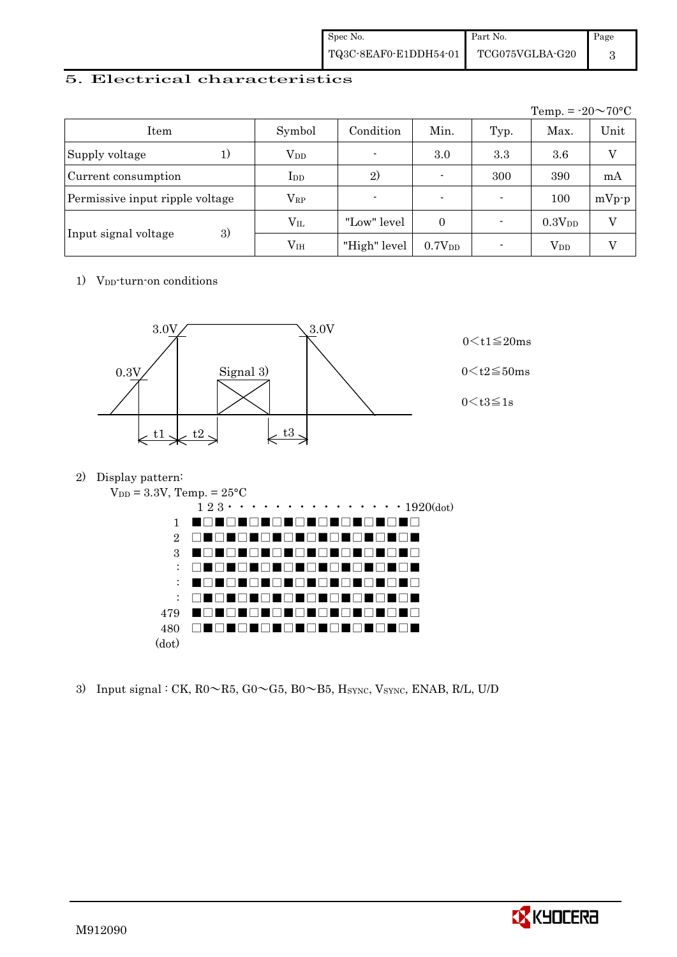| Spec No.              | Part No.          | Page |
|-----------------------|-------------------|------|
| TQ3C-8EAF0-E1DDH54-01 | $TCG075VGLBA-G20$ |      |

# 5. Electrical characteristics

|                                 |               |                |                          |      | Temp. = $-20 \sim 70$ °C |         |
|---------------------------------|---------------|----------------|--------------------------|------|--------------------------|---------|
| Item                            | Symbol        | Condition      | Min.                     | Typ. | Max.                     | Unit    |
| Supply voltage<br>1)            | $\rm V_{DD}$  | $\blacksquare$ | 3.0                      | 3.3  | 3.6                      | V       |
| Current consumption             | $_{\rm{LDD}}$ | 2)             | $\overline{\phantom{0}}$ | 300  | 390                      | mA      |
| Permissive input ripple voltage | $\rm V_{RP}$  | $\blacksquare$ | $\blacksquare$           |      | 100                      | $mVp-p$ |
|                                 | $V_{IL}$      | "Low" level    | $\Omega$                 |      | 0.3V <sub>DD</sub>       | V       |
| 3)<br>Input signal voltage      | $\rm V_{IH}$  | "High" level   | 0.7V <sub>DD</sub>       |      | <b>V</b> <sub>DD</sub>   |         |

1) V<sub>DD</sub>-turn-on conditions



2) Display pattern:



3) Input signal : CK,  $R0 \sim R5$ ,  $G0 \sim G5$ ,  $B0 \sim B5$ ,  $H<sub>SYNC</sub>$ ,  $V<sub>SYNC</sub>$ ,  $ENAB$ ,  $R/L$ ,  $U/D$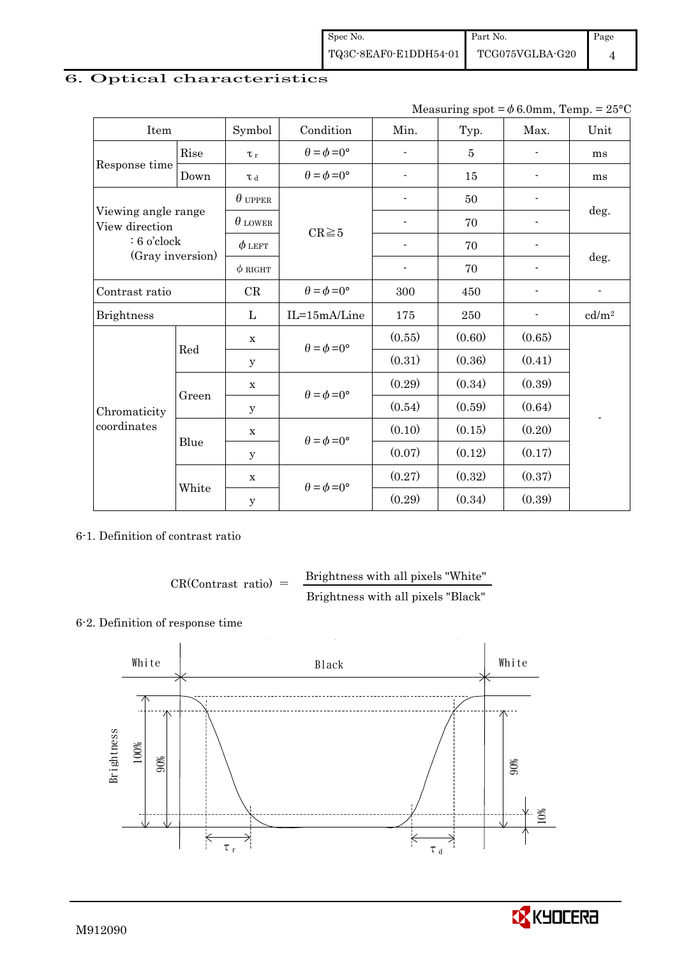# 6. Optical characteristics

| Measuring spot = $\phi$ 6.0mm, Temp. = 25°C |
|---------------------------------------------|
|---------------------------------------------|

| Item                                  |       | Symbol         | Condition                   | Min.           | Typ.   | Max.                     | Unit                     |
|---------------------------------------|-------|----------------|-----------------------------|----------------|--------|--------------------------|--------------------------|
|                                       | Rise  | $\tau_r$       | $\theta = \phi = 0^{\circ}$ | $\blacksquare$ | 5      | $\overline{\phantom{a}}$ | ms                       |
| Response time                         | Down  | $\tau$ d       | $\theta = \phi = 0^{\circ}$ | $\overline{a}$ | 15     |                          | ms                       |
|                                       |       | $\theta$ upper |                             |                | 50     |                          |                          |
| Viewing angle range<br>View direction |       | $\theta$ lower | $CR \ge 5$                  |                | 70     |                          | deg.                     |
| $: 6$ o'clock                         |       | $\phi$ left    |                             |                | 70     |                          |                          |
| (Gray inversion)                      |       | $\phi$ right   |                             | $\blacksquare$ | 70     | $\overline{\phantom{a}}$ | deg.                     |
| Contrast ratio                        |       | CR             | $\theta = \phi = 0^{\circ}$ | 300            | 450    |                          | $\overline{\phantom{a}}$ |
| <b>Brightness</b>                     |       | L              | IL=15mA/Line                | 175            | 250    |                          | cd/m <sup>2</sup>        |
|                                       | Red   | $\mathbf x$    | $\theta = \phi = 0^{\circ}$ | (0.55)         | (0.60) | (0.65)                   |                          |
|                                       |       | У              |                             | (0.31)         | (0.36) | (0.41)                   |                          |
|                                       |       | $\mathbf X$    | $\theta = \phi = 0^{\circ}$ | (0.29)         | (0.34) | (0.39)                   |                          |
| Chromaticity                          | Green | у              |                             | (0.54)         | (0.59) | (0.64)                   |                          |
| coordinates                           |       | $\mathbf X$    | $\theta = \phi = 0^{\circ}$ | (0.10)         | (0.15) | (0.20)                   |                          |
|                                       | Blue  | У              |                             | (0.07)         | (0.12) | (0.17)                   |                          |
|                                       |       | $\mathbf X$    | $\theta = \phi = 0^{\circ}$ | (0.27)         | (0.32) | (0.37)                   |                          |
|                                       | White | $\mathbf y$    |                             | (0.29)         | (0.34) | (0.39)                   |                          |

6-1. Definition of contrast ratio

$$
CR(Contrast ratio) = \frac{Brightness with all pixels "White"}
$$
  
Brightness with all pixels "Black"

### 6-2. Definition of response time

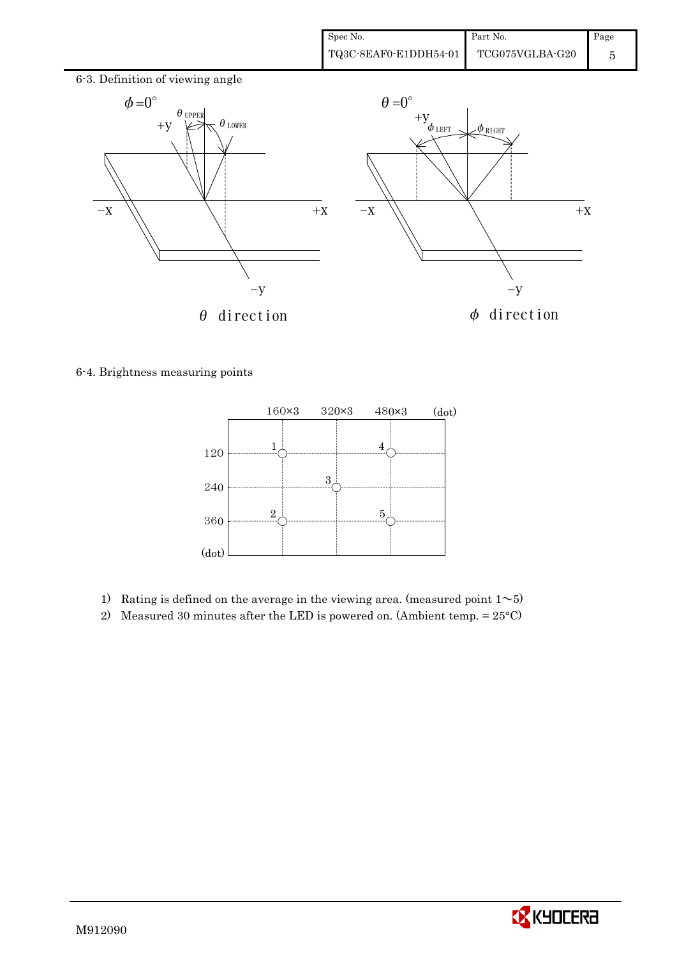

6-4. Brightness measuring points



- 1) Rating is defined on the average in the viewing area. (measured point  $1~$
- 2) Measured 30 minutes after the LED is powered on. (Ambient temp.  $= 25^{\circ}$ C)

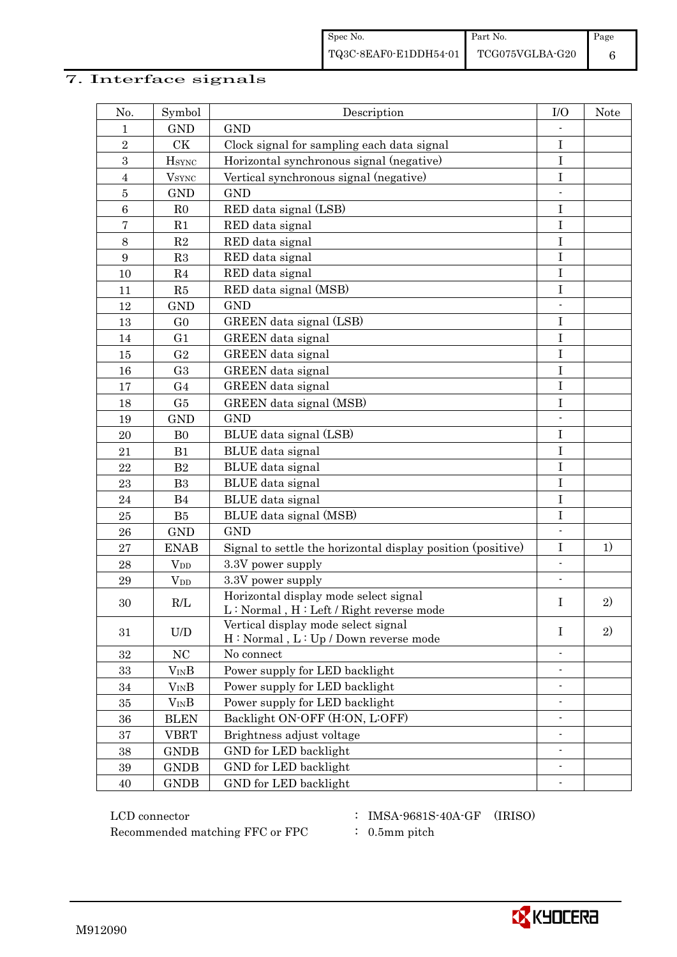# 7. Interface signals

| No.              | Symbol                 | Description                                                                      | I/O                      | Note |
|------------------|------------------------|----------------------------------------------------------------------------------|--------------------------|------|
| 1                | <b>GND</b>             | <b>GND</b>                                                                       |                          |      |
| $\overline{2}$   | CK                     | Clock signal for sampling each data signal                                       | I                        |      |
| 3                | $H_{\rm SYNC}$         | Horizontal synchronous signal (negative)                                         | $\bf I$                  |      |
| $\overline{4}$   | $V_{\rm SYNC}$         | Vertical synchronous signal (negative)                                           | I                        |      |
| $\bf 5$          | <b>GND</b>             | <b>GND</b>                                                                       |                          |      |
| $\,6$            | R <sub>0</sub>         | RED data signal (LSB)                                                            | I                        |      |
| $\bf 7$          | R1                     | RED data signal                                                                  | $\rm I$                  |      |
| 8                | $\mathbf{R}2$          | RED data signal                                                                  | $\bf I$                  |      |
| $\boldsymbol{9}$ | R3                     | RED data signal                                                                  | $\mathbf I$              |      |
| 10               | R <sub>4</sub>         | RED data signal                                                                  | I                        |      |
| 11               | R5                     | RED data signal (MSB)                                                            | $\bf I$                  |      |
| 12               | <b>GND</b>             | <b>GND</b>                                                                       |                          |      |
| 13               | G <sub>0</sub>         | GREEN data signal (LSB)                                                          | $\bf I$                  |      |
| 14               | G <sub>1</sub>         | GREEN data signal                                                                | $\mathbf I$              |      |
| 15               | G <sub>2</sub>         | GREEN data signal                                                                | I                        |      |
| 16               | G <sub>3</sub>         | GREEN data signal                                                                | $\mathbf I$              |      |
| 17               | G <sub>4</sub>         | GREEN data signal                                                                | $\mathbf I$              |      |
| 18               | G5                     | GREEN data signal (MSB)                                                          | I                        |      |
| 19               | <b>GND</b>             | <b>GND</b>                                                                       |                          |      |
| 20               | B <sub>0</sub>         | BLUE data signal (LSB)                                                           | I                        |      |
| 21               | B1                     | BLUE data signal                                                                 | I                        |      |
| 22               | $\mathbf{B}2$          | BLUE data signal                                                                 | $\mathbf I$              |      |
| 23               | B <sub>3</sub>         | BLUE data signal                                                                 | $\bf I$                  |      |
| 24               | B <sub>4</sub>         | BLUE data signal                                                                 | $\mathbf I$              |      |
| 25               | B5                     | BLUE data signal (MSB)                                                           | $\bf I$                  |      |
| 26               | <b>GND</b>             | <b>GND</b>                                                                       |                          |      |
| 27               | <b>ENAB</b>            | Signal to settle the horizontal display position (positive)                      | $\mathbf I$              | 1)   |
| 28               | $V_{DD}$               | 3.3V power supply                                                                | ÷.                       |      |
| 29               | <b>V</b> <sub>DD</sub> | 3.3V power supply                                                                |                          |      |
| 30               | R/L                    | Horizontal display mode select signal<br>L: Normal, H: Left / Right reverse mode | I                        | 2)   |
| 31               | U/D                    | Vertical display mode select signal<br>H: Normal, L: Up / Down reverse mode      | $\mathbf I$              | 2)   |
| 32               | NC                     | No connect                                                                       |                          |      |
| 33               | $V_{\rm IN}B$          | Power supply for LED backlight                                                   |                          |      |
| 34               | $V_{IN}B$              | Power supply for LED backlight                                                   | $\overline{\phantom{0}}$ |      |
| 35               | $V_{IN}B$              | Power supply for LED backlight                                                   |                          |      |
| 36               | <b>BLEN</b>            | Backlight ON-OFF (H:ON, L:OFF)                                                   |                          |      |
| 37               | <b>VBRT</b>            | Brightness adjust voltage                                                        |                          |      |
| 38               | <b>GNDB</b>            | GND for LED backlight                                                            | $\overline{\phantom{a}}$ |      |
| 39               | <b>GNDB</b>            | GND for LED backlight                                                            | $\overline{\phantom{0}}$ |      |
| 40               | <b>GNDB</b>            | GND for LED backlight                                                            |                          |      |

 $\begin{tabular}{ccccc} LCD connector & & & \textbf{1MSA-9681S-40A-GF} & (IRISO)\\ \end{tabular}$ Recommended matching FFC or FPC  $\qquad$  : 0.5mm pitch

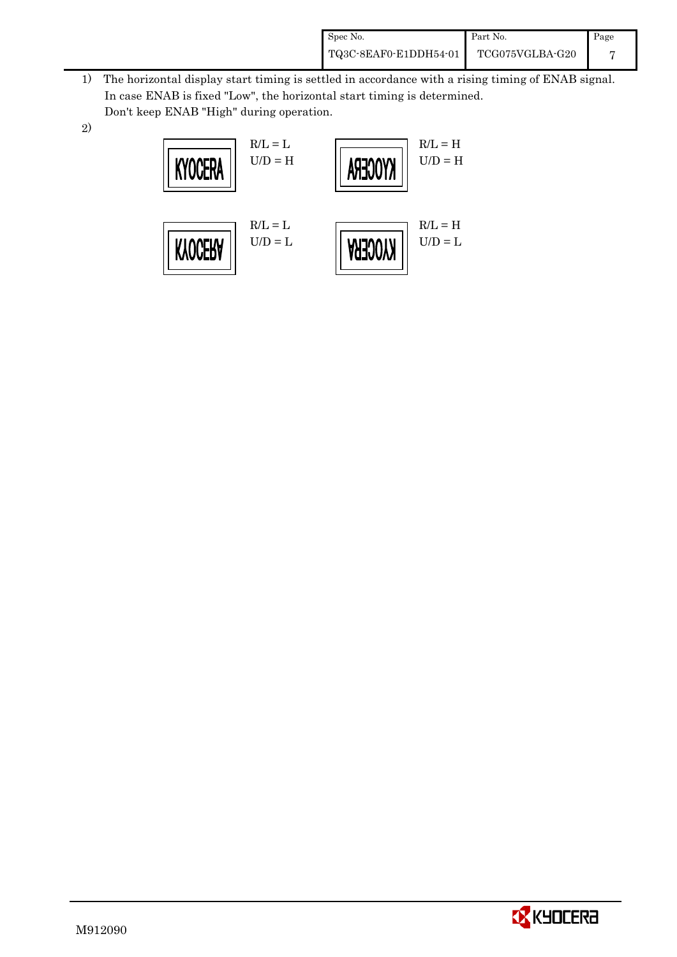| Spec No.              | Part No.        | Page |
|-----------------------|-----------------|------|
| TQ3C-8EAF0-E1DDH54-01 | TCG075VGLBA-G20 |      |

- 1) The horizontal display start timing is settled in accordance with a rising timing of ENAB signal. In case ENAB is fixed "Low", the horizontal start timing is determined. Don't keep ENAB "High" during operation.
- 2)



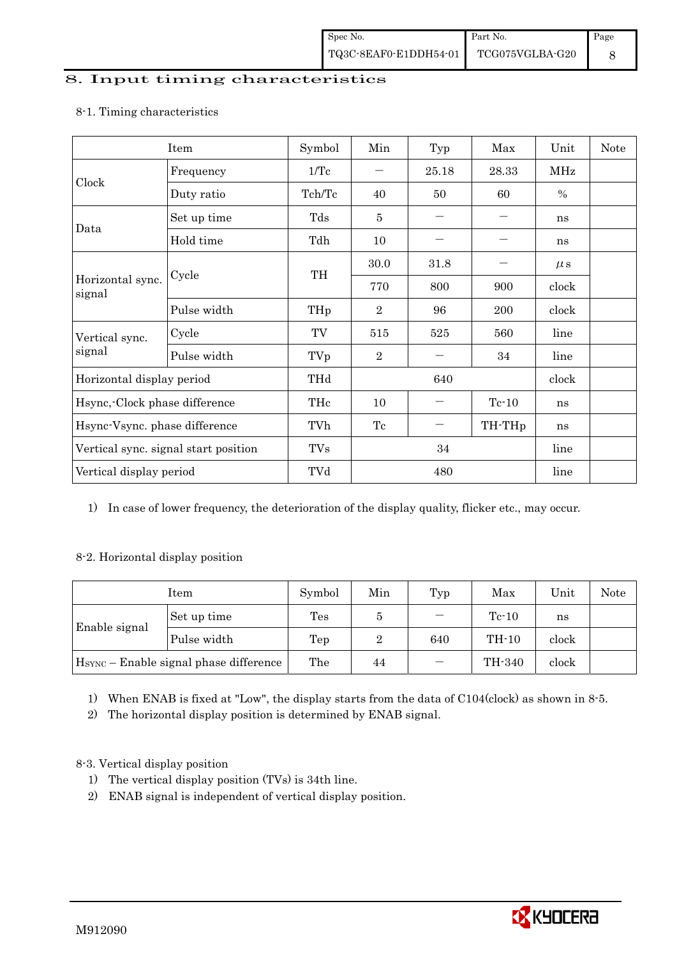## 8. Input timing characteristics

# Item Symbol Min Typ Max Unit Note Frequency  $1/Tc$  -  $25.18$  28.33 MHz Clock Duty ratio  $\begin{array}{|c|c|c|c|c|c|c|c|c|} \hline \end{array}$  Tch/Tc  $\begin{array}{|c|c|c|c|c|c|c|} \hline \end{array}$  60  $\begin{array}{|c|c|c|c|c|c|} \hline \end{array}$  % Set up time Tds 5 - - ns Data Hold time Tdh 10 - - ns  $30.0$   $31.8$   $\mu s$ Cycle TH Horizontal sync. Cycle TH 770 800 900 clock signal Pulse width  $THp \mid 2 \mid 96 \mid 200 \mid clock$ Cycle TV 515 525 560 line Vertical sync. signal Pulse width TVp 2 - 34 line Horizontal display period THd 640 640 clock Hsync,-Clock phase difference  $\vert$  THc  $\vert$  10  $\vert$  - Tc-10  $\vert$  ns Hsync-Vsync. phase difference  $\vert$  TVh  $\vert$  Tc  $\vert$  - TH-THp  $\vert$  ns Vertical sync. signal start position  $\begin{array}{|c|c|c|c|c|c|c|c|c|} \hline \text{V} & \text{TVs} & 34 & \text{line} \end{array}$  line Vertical display period  $\overline{Y}$  TVd  $\overline{480}$  line

### 8-1. Timing characteristics

1) In case of lower frequency, the deterioration of the display quality, flicker etc., may occur.

# 8-2. Horizontal display position

| Item                                               |             | Symbol | Min | Typ | Max     | Unit  | Note |
|----------------------------------------------------|-------------|--------|-----|-----|---------|-------|------|
| Enable signal                                      | Set up time | Tes    |     |     | $Te-10$ | ns    |      |
|                                                    | Pulse width | Tep    |     | 640 | $TH-10$ | clock |      |
| H <sub>SYNC</sub> - Enable signal phase difference |             | The    | 44  |     | TH-340  | clock |      |

1) When ENAB is fixed at "Low", the display starts from the data of C104(clock) as shown in 8-5.

2) The horizontal display position is determined by ENAB signal.

# 8-3. Vertical display position

- 1) The vertical display position (TVs) is 34th line.
- 2) ENAB signal is independent of vertical display position.

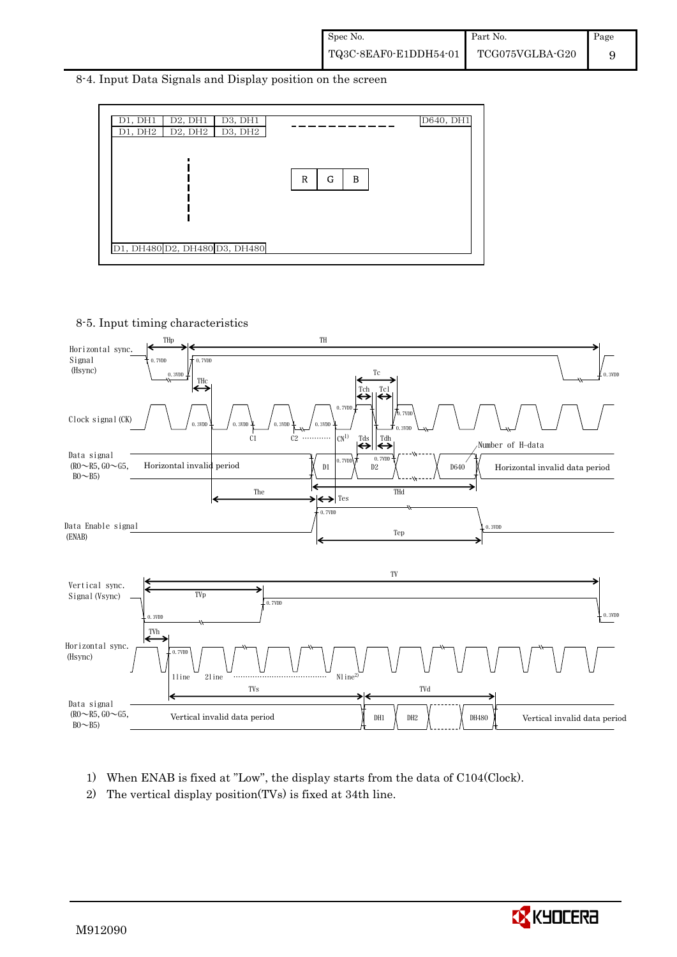#### 8-4. Input Data Signals and Display position on the screen



8-5. Input timing characteristics



- 1) When ENAB is fixed at "Low", the display starts from the data of C104(Clock).
- 2) The vertical display position(TVs) is fixed at 34th line.

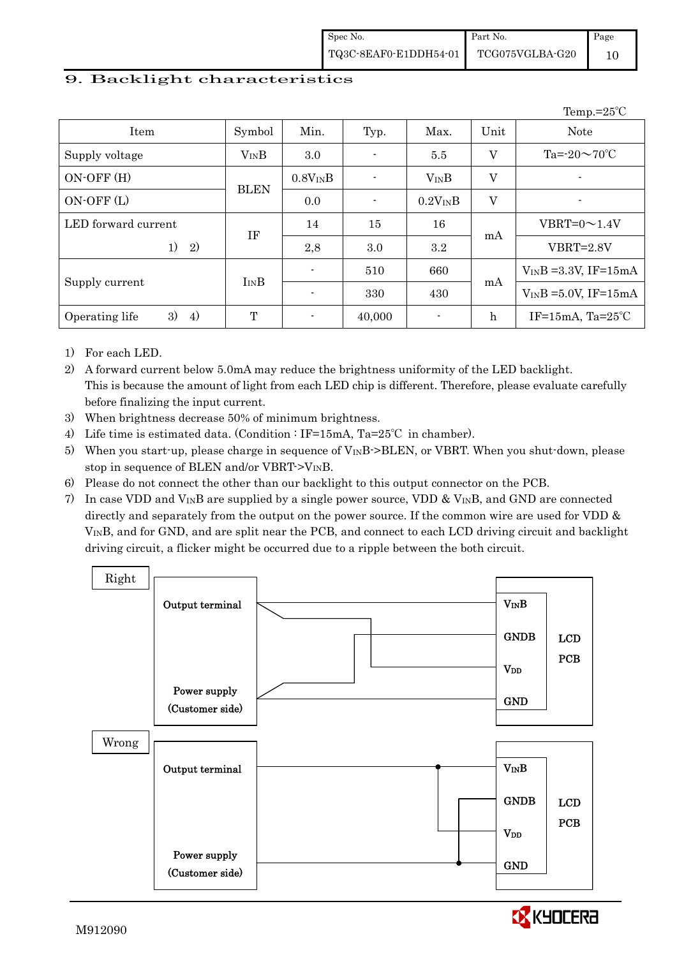# 9. Backlight characteristics

|                            |             |                          |                          |                |             | Temp.= $25^{\circ}$ C      |
|----------------------------|-------------|--------------------------|--------------------------|----------------|-------------|----------------------------|
| Item                       | Symbol      | Min.                     | Typ.                     | Max.           | Unit        | <b>Note</b>                |
| Supply voltage             | $V_{IN}B$   | 3.0                      | $\blacksquare$           | 5.5            | V           | Ta= $-20 \sim 70$ °C       |
| ON-OFF (H)                 |             | $0.8V_{IN}B$             | $\overline{\phantom{a}}$ | $V_{IN}B$      | $\mathbf V$ | ٠                          |
| ON-OFF(L)                  | <b>BLEN</b> | 0.0                      | $\blacksquare$           | $0.2V_{IN}B$   | V           | ٠                          |
| LED forward current        |             | 14                       | 15                       | 16             |             | $VBRT=0 \sim 1.4V$         |
| 1)<br>2)                   | IF          | 2,8                      | 3.0                      | $3.2\,$        | mA          | $VBRT = 2.8V$              |
|                            |             | ٠                        | 510                      | 660            |             | $V_{IN}B = 3.3V$ , IF=15mA |
| Supply current             | $I_{IN}B$   | ۰                        | 330                      | 430            | mA          | $V_{IN}B = 5.0V$ , IF=15mA |
| 3)<br>4)<br>Operating life | T           | $\overline{\phantom{a}}$ | 40,000                   | $\blacksquare$ | $\mathbf h$ | IF=15mA, $Ta=25^{\circ}C$  |

1) For each LED.

2) A forward current below 5.0mA may reduce the brightness uniformity of the LED backlight. This is because the amount of light from each LED chip is different. Therefore, please evaluate carefully before finalizing the input current.

- 3) When brightness decrease 50% of minimum brightness.
- 4) Life time is estimated data. (Condition : IF=15mA, Ta=25℃ in chamber).
- 5) When you start-up, please charge in sequence of V<sub>IN</sub>B->BLEN, or VBRT. When you shut-down, please stop in sequence of BLEN and/or VBRT->VINB.
- 6) Please do not connect the other than our backlight to this output connector on the PCB.
- 7) In case VDD and  $V_{IN}B$  are supplied by a single power source, VDD &  $V_{IN}B$ , and GND are connected directly and separately from the output on the power source. If the common wire are used for VDD  $\&$ VINB, and for GND, and are split near the PCB, and connect to each LCD driving circuit and backlight driving circuit, a flicker might be occurred due to a ripple between the both circuit.



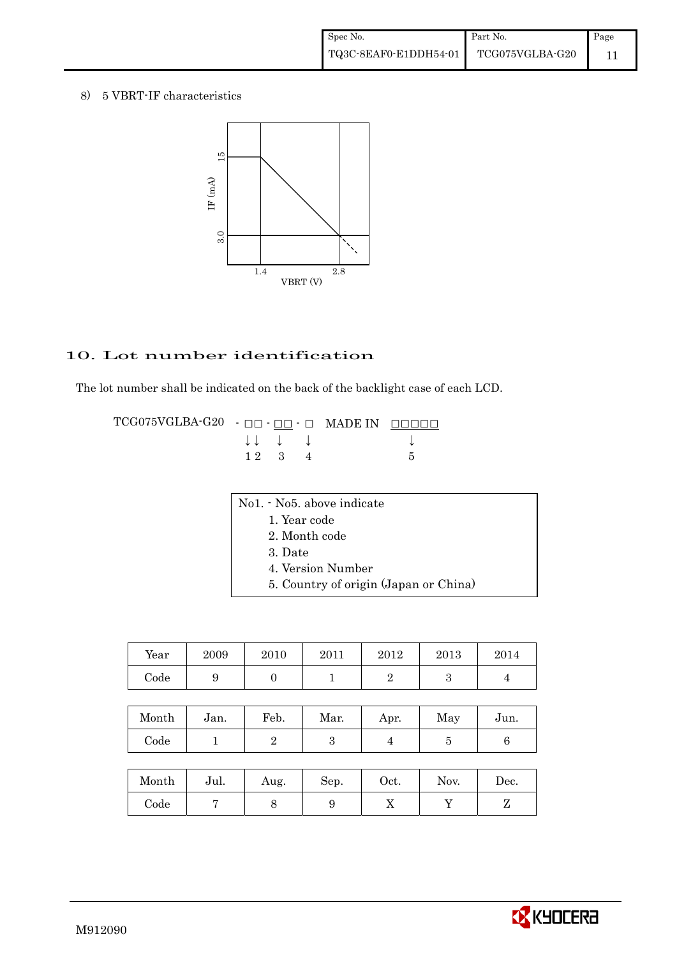# 8) 5 VBRT-IF characteristics



# 10. Lot number identification

The lot number shall be indicated on the back of the backlight case of each LCD.

TCG075VGLBA-G20 - ŌŌ - ŌŌ - Ō MADE IN ŌŌŌŌŌ  $\downarrow \downarrow \quad \downarrow \quad \downarrow \qquad \qquad \downarrow$  $1 \ 2 \ 3 \ 4$  5

- No1. No5. above indicate
	- 1. Year code
	- 2. Month code
	- 3. Date
	- 4. Version Number
	- 5. Country of origin (Japan or China)

| Year       | 2009 | 2010 | 2011 | 2012 | 2013 | 2014 |
|------------|------|------|------|------|------|------|
| $\rm Code$ |      |      |      |      |      |      |

| Month      | Jan. | Feb. | Mar. | Apr. | May | Jun. |
|------------|------|------|------|------|-----|------|
| $\rm Code$ |      |      |      |      |     |      |

| Month | Jul. | Aug. | Sep. | Oct. | Nov. | Dec. |
|-------|------|------|------|------|------|------|
| Code  |      |      |      | ∡⊾   |      |      |

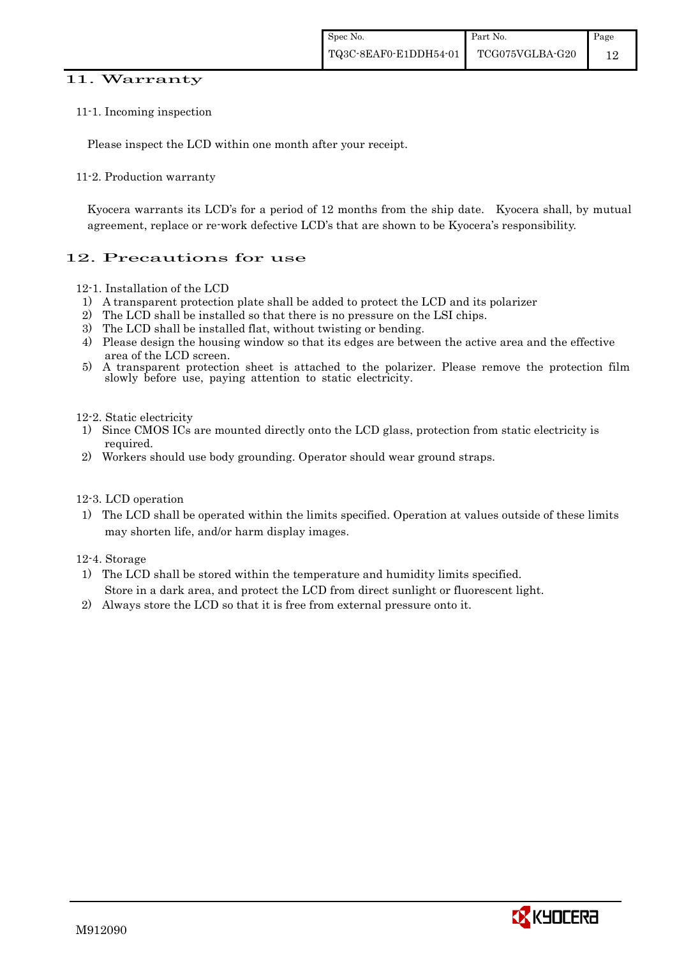### 11. Warranty

#### 11-1. Incoming inspection

Please inspect the LCD within one month after your receipt.

11-2. Production warranty

 Kyocera warrants its LCD's for a period of 12 months from the ship date. Kyocera shall, by mutual agreement, replace or re-work defective LCD's that are shown to be Kyocera's responsibility.

# 12. Precautions for use

12-1. Installation of the LCD

- 1) A transparent protection plate shall be added to protect the LCD and its polarizer
- 2) The LCD shall be installed so that there is no pressure on the LSI chips.
- 3) The LCD shall be installed flat, without twisting or bending.
- 4) Please design the housing window so that its edges are between the active area and the effective area of the LCD screen.<br>5) A transparent protection
- 5) A transparent protection sheet is attached to the polarizer. Please remove the protection film slowly before use, paying attention to static electricity.

#### 12-2. Static electricity

- 1) Since CMOS ICs are mounted directly onto the LCD glass, protection from static electricity is required.
- 2) Workers should use body grounding. Operator should wear ground straps.

#### 12-3. LCD operation

1) The LCD shall be operated within the limits specified. Operation at values outside of these limits may shorten life, and/or harm display images.

12-4. Storage

- 1) The LCD shall be stored within the temperature and humidity limits specified. Store in a dark area, and protect the LCD from direct sunlight or fluorescent light.
- 2) Always store the LCD so that it is free from external pressure onto it.

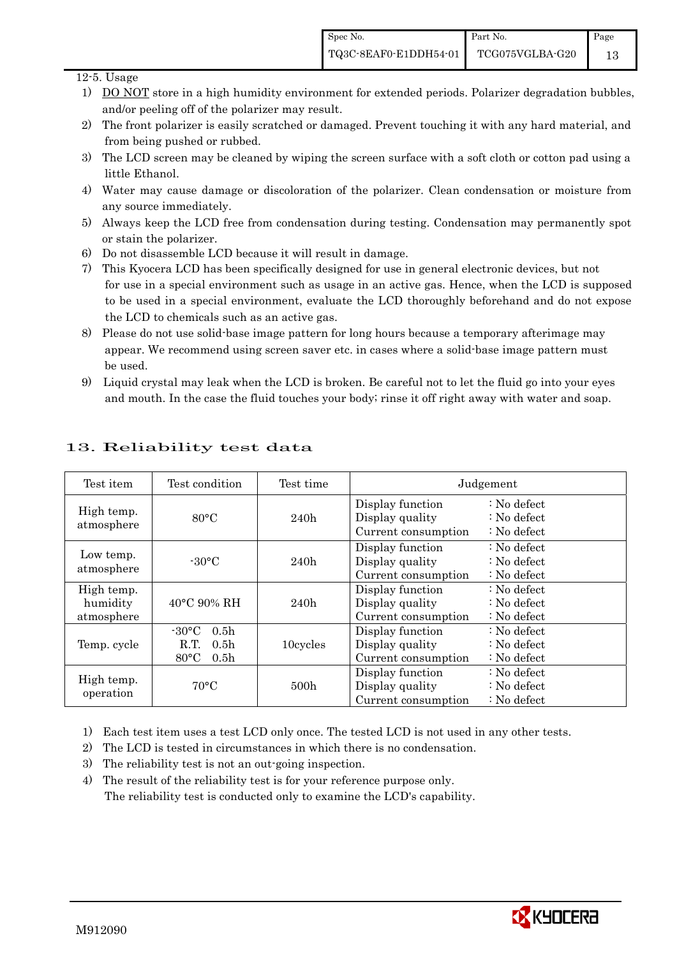### 12-5. Usage

- 1) DO NOT store in a high humidity environment for extended periods. Polarizer degradation bubbles, and/or peeling off of the polarizer may result.
- 2) The front polarizer is easily scratched or damaged. Prevent touching it with any hard material, and from being pushed or rubbed.
- 3) The LCD screen may be cleaned by wiping the screen surface with a soft cloth or cotton pad using a little Ethanol.
- 4) Water may cause damage or discoloration of the polarizer. Clean condensation or moisture from any source immediately.
- 5) Always keep the LCD free from condensation during testing. Condensation may permanently spot or stain the polarizer.
- 6) Do not disassemble LCD because it will result in damage.
- 7) This Kyocera LCD has been specifically designed for use in general electronic devices, but not for use in a special environment such as usage in an active gas. Hence, when the LCD is supposed to be used in a special environment, evaluate the LCD thoroughly beforehand and do not expose the LCD to chemicals such as an active gas.
- 8) Please do not use solid-base image pattern for long hours because a temporary afterimage may appear. We recommend using screen saver etc. in cases where a solid-base image pattern must be used.
- 9) Liquid crystal may leak when the LCD is broken. Be careful not to let the fluid go into your eyes and mouth. In the case the fluid touches your body; rinse it off right away with water and soap.

| Test item                            | Test condition                                                                                        | Test time |                                                            | Judgement                                                                  |
|--------------------------------------|-------------------------------------------------------------------------------------------------------|-----------|------------------------------------------------------------|----------------------------------------------------------------------------|
| High temp.<br>atmosphere             | $80^{\circ}$ C                                                                                        | 240h      | Display function<br>Display quality<br>Current consumption | $\therefore$ No defect<br>$\therefore$ No defect<br>$\therefore$ No defect |
| Low temp.<br>atmosphere              | $-30$ °C                                                                                              | 240h      | Display function<br>Display quality<br>Current consumption | $\therefore$ No defect<br>: No defect<br>$\therefore$ No defect            |
| High temp.<br>humidity<br>atmosphere | 40°C 90% RH                                                                                           | 240h      | Display function<br>Display quality<br>Current consumption | : No defect<br>$\therefore$ No defect<br>$\therefore$ No defect            |
| Temp. cycle                          | $-30^{\circ}$ C<br>0.5 <sub>h</sub><br>R.T.<br>0.5 <sub>h</sub><br>$80^{\circ}$ C<br>0.5 <sub>h</sub> | 10cycles  | Display function<br>Display quality<br>Current consumption | $\therefore$ No defect<br>$\therefore$ No defect<br>$\therefore$ No defect |
| High temp.<br>operation              | $70^{\circ}$ C                                                                                        | 500h      | Display function<br>Display quality<br>Current consumption | $\therefore$ No defect<br>$\therefore$ No defect<br>$\therefore$ No defect |

# 13. Reliability test data

1) Each test item uses a test LCD only once. The tested LCD is not used in any other tests.

- 2) The LCD is tested in circumstances in which there is no condensation.
- 3) The reliability test is not an out-going inspection.
- 4) The result of the reliability test is for your reference purpose only. The reliability test is conducted only to examine the LCD's capability.

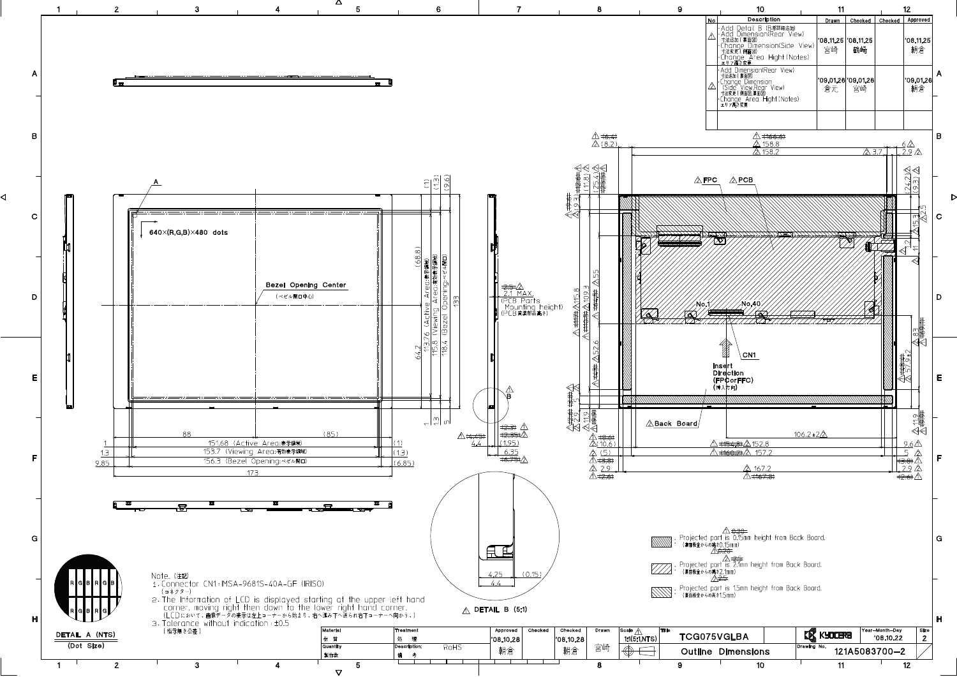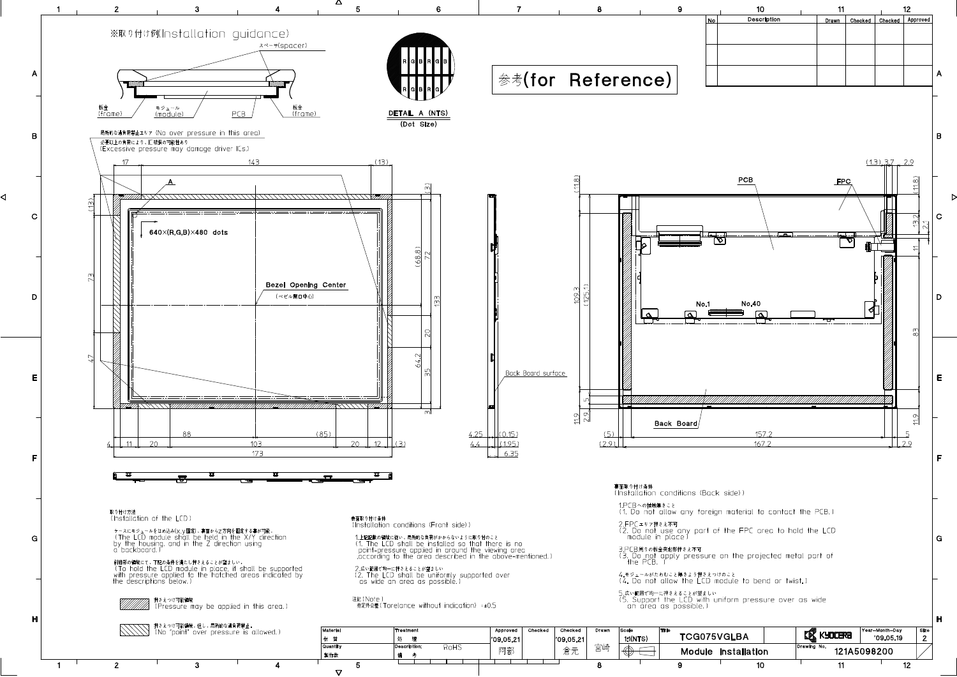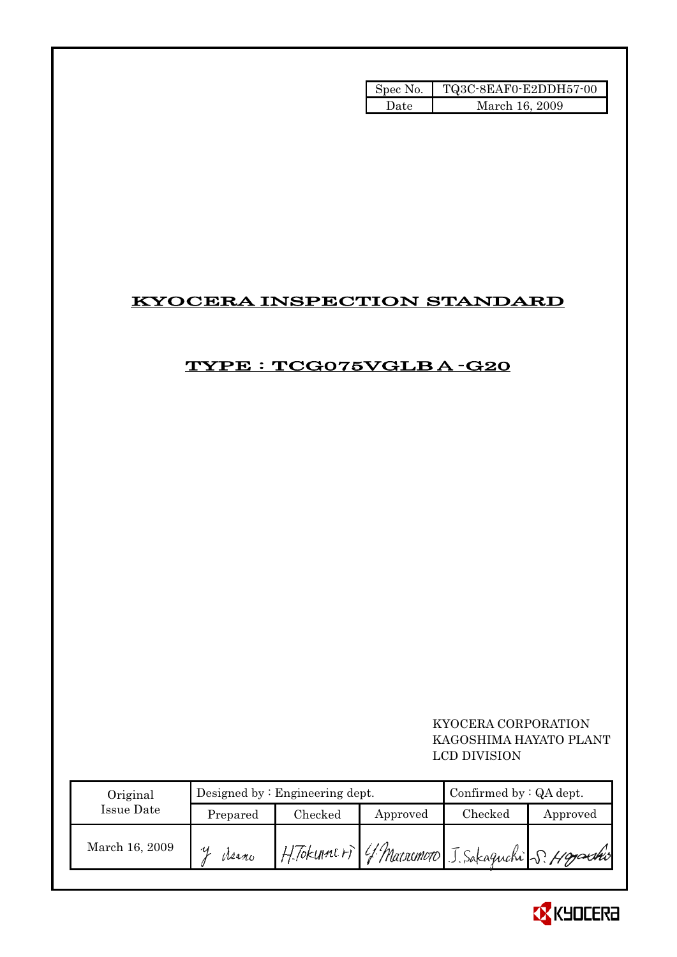| Spec No. | TQ3C-8EAF0-E2DDH57-00 |
|----------|-----------------------|
| Date     | March 16, 2009        |

# KYOCERA INSPECTION STANDARD

# TYPE : TCG075VGLBA-G20

# KYOCERA CORPORATION KAGOSHIMA HAYATO PLANT LCD DIVISION

| Original       |          | Designed by: Engineering dept.                    | Confirmed by $:QA$ dept. |         |          |
|----------------|----------|---------------------------------------------------|--------------------------|---------|----------|
| Issue Date     | Prepared | Checked                                           | Approved                 | Checked | Approved |
| March 16, 2009 | Meano    | H. Tokume ri 4. Macromoro J. Sakaguchi S. Hgyschi |                          |         |          |

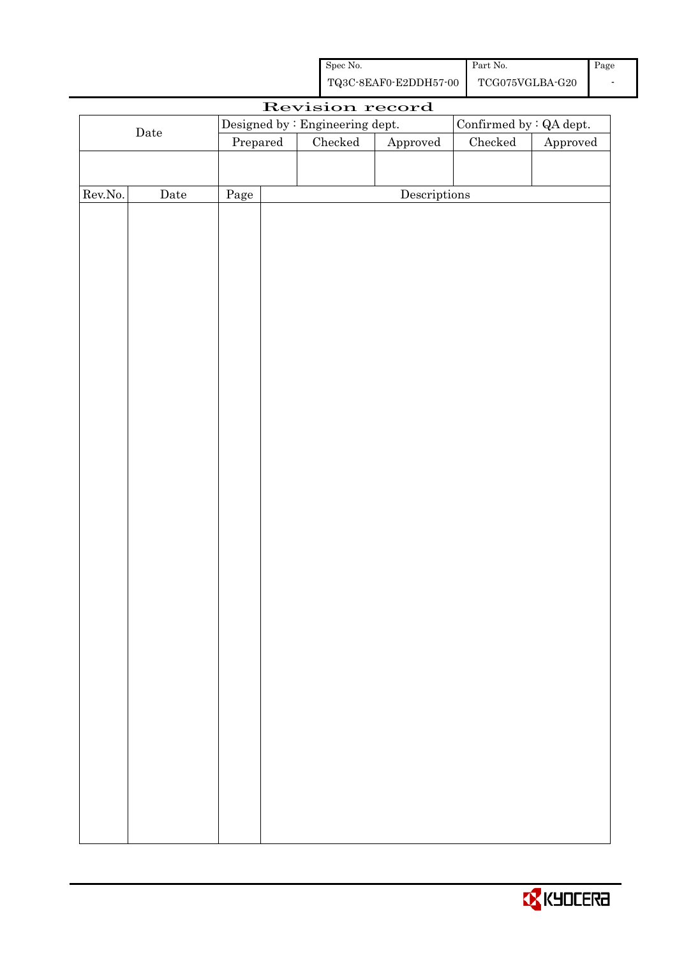| Spec No.              | Part No.        | Page |
|-----------------------|-----------------|------|
| TQ3C-8EAF0-E2DDH57-00 | TCG075VGLBA-G20 |      |

|             |             |                                 |  | Revision record |                         |               |          |
|-------------|-------------|---------------------------------|--|-----------------|-------------------------|---------------|----------|
|             |             | Designed by : Engineering dept. |  |                 | Confirmed by : QA dept. |               |          |
| $\rm{Date}$ |             | Prepared                        |  | Checked         | ${\Large\bf Approved}$  | $\rm Checked$ | Approved |
|             |             |                                 |  |                 |                         |               |          |
|             |             |                                 |  |                 |                         |               |          |
| Rev.No.     | $\rm{Date}$ | Page                            |  |                 | Descriptions            |               |          |
|             |             |                                 |  |                 |                         |               |          |
|             |             |                                 |  |                 |                         |               |          |
|             |             |                                 |  |                 |                         |               |          |
|             |             |                                 |  |                 |                         |               |          |
|             |             |                                 |  |                 |                         |               |          |
|             |             |                                 |  |                 |                         |               |          |
|             |             |                                 |  |                 |                         |               |          |
|             |             |                                 |  |                 |                         |               |          |
|             |             |                                 |  |                 |                         |               |          |
|             |             |                                 |  |                 |                         |               |          |
|             |             |                                 |  |                 |                         |               |          |
|             |             |                                 |  |                 |                         |               |          |
|             |             |                                 |  |                 |                         |               |          |
|             |             |                                 |  |                 |                         |               |          |
|             |             |                                 |  |                 |                         |               |          |
|             |             |                                 |  |                 |                         |               |          |
|             |             |                                 |  |                 |                         |               |          |
|             |             |                                 |  |                 |                         |               |          |
|             |             |                                 |  |                 |                         |               |          |
|             |             |                                 |  |                 |                         |               |          |
|             |             |                                 |  |                 |                         |               |          |
|             |             |                                 |  |                 |                         |               |          |
|             |             |                                 |  |                 |                         |               |          |
|             |             |                                 |  |                 |                         |               |          |
|             |             |                                 |  |                 |                         |               |          |
|             |             |                                 |  |                 |                         |               |          |
|             |             |                                 |  |                 |                         |               |          |
|             |             |                                 |  |                 |                         |               |          |
|             |             |                                 |  |                 |                         |               |          |
|             |             |                                 |  |                 |                         |               |          |
|             |             |                                 |  |                 |                         |               |          |
|             |             |                                 |  |                 |                         |               |          |
|             |             |                                 |  |                 |                         |               |          |
|             |             |                                 |  |                 |                         |               |          |
|             |             |                                 |  |                 |                         |               |          |

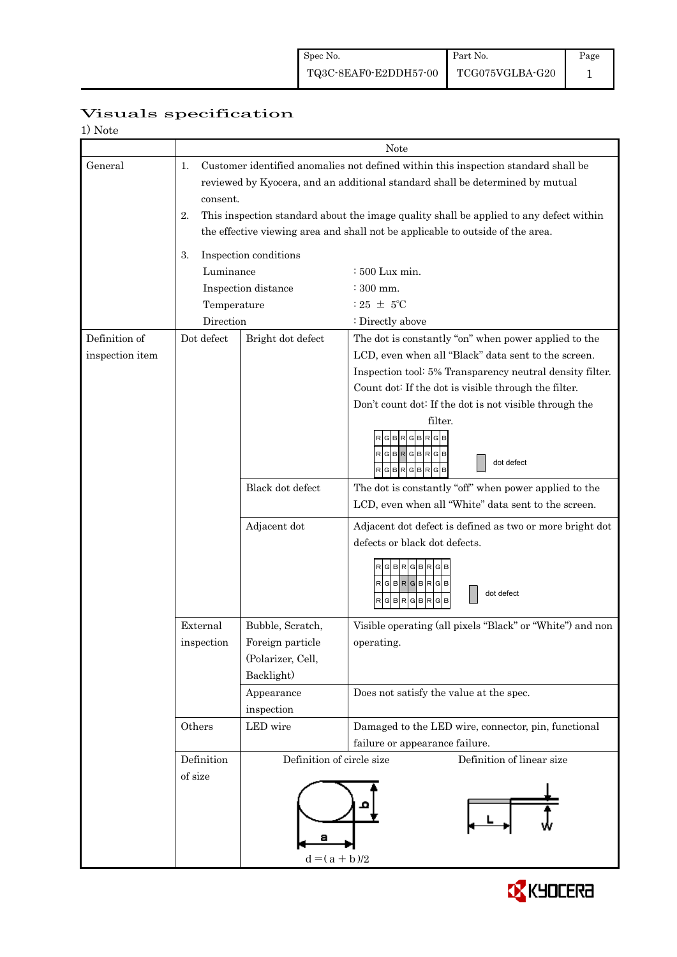|                  | Visuals specification |
|------------------|-----------------------|
| $1$ $N_{\rm{L}}$ |                       |

| 1) Note         |                                                                                              |                                                                                |                                                           |  |  |  |
|-----------------|----------------------------------------------------------------------------------------------|--------------------------------------------------------------------------------|-----------------------------------------------------------|--|--|--|
|                 | Note                                                                                         |                                                                                |                                                           |  |  |  |
| General         | Customer identified anomalies not defined within this inspection standard shall be<br>1.     |                                                                                |                                                           |  |  |  |
|                 | reviewed by Kyocera, and an additional standard shall be determined by mutual                |                                                                                |                                                           |  |  |  |
|                 | consent.                                                                                     |                                                                                |                                                           |  |  |  |
|                 | This inspection standard about the image quality shall be applied to any defect within<br>2. |                                                                                |                                                           |  |  |  |
|                 |                                                                                              | the effective viewing area and shall not be applicable to outside of the area. |                                                           |  |  |  |
|                 |                                                                                              |                                                                                |                                                           |  |  |  |
|                 | 3.                                                                                           | Inspection conditions                                                          |                                                           |  |  |  |
|                 | Luminance                                                                                    |                                                                                | : 500 Lux min.                                            |  |  |  |
|                 |                                                                                              | Inspection distance                                                            | $\div$ 300 mm.                                            |  |  |  |
|                 | Temperature                                                                                  |                                                                                | : 25 $\pm$ 5°C                                            |  |  |  |
|                 | Direction                                                                                    |                                                                                | : Directly above                                          |  |  |  |
| Definition of   | Dot defect                                                                                   | Bright dot defect                                                              | The dot is constantly "on" when power applied to the      |  |  |  |
| inspection item |                                                                                              |                                                                                | LCD, even when all "Black" data sent to the screen.       |  |  |  |
|                 |                                                                                              |                                                                                | Inspection tool: 5% Transparency neutral density filter.  |  |  |  |
|                 |                                                                                              |                                                                                | Count dot: If the dot is visible through the filter.      |  |  |  |
|                 |                                                                                              |                                                                                | Don't count dot: If the dot is not visible through the    |  |  |  |
|                 |                                                                                              |                                                                                | filter.                                                   |  |  |  |
|                 |                                                                                              |                                                                                | <b>GBRGBRGB</b>                                           |  |  |  |
|                 |                                                                                              |                                                                                | RGBRGBRGB                                                 |  |  |  |
|                 |                                                                                              |                                                                                | dot defect<br>$RGBRGBRGB$                                 |  |  |  |
|                 |                                                                                              | Black dot defect                                                               | The dot is constantly "off" when power applied to the     |  |  |  |
|                 |                                                                                              |                                                                                | LCD, even when all "White" data sent to the screen.       |  |  |  |
|                 |                                                                                              | Adjacent dot                                                                   | Adjacent dot defect is defined as two or more bright dot  |  |  |  |
|                 |                                                                                              |                                                                                | defects or black dot defects.                             |  |  |  |
|                 |                                                                                              |                                                                                |                                                           |  |  |  |
|                 |                                                                                              |                                                                                | RGBRGBRGB                                                 |  |  |  |
|                 |                                                                                              |                                                                                | $R$ G $B$ R $G$ B $R$ G $B$<br>dot defect                 |  |  |  |
|                 |                                                                                              |                                                                                | RGBRGBRGB                                                 |  |  |  |
|                 | External                                                                                     | Bubble, Scratch,                                                               | Visible operating (all pixels "Black" or "White") and non |  |  |  |
|                 | inspection                                                                                   | Foreign particle                                                               | operating.                                                |  |  |  |
|                 |                                                                                              | (Polarizer, Cell,                                                              |                                                           |  |  |  |
|                 |                                                                                              | Backlight)                                                                     |                                                           |  |  |  |
|                 |                                                                                              | Appearance                                                                     | Does not satisfy the value at the spec.                   |  |  |  |
|                 |                                                                                              | inspection                                                                     |                                                           |  |  |  |
|                 | Others                                                                                       | LED wire                                                                       | Damaged to the LED wire, connector, pin, functional       |  |  |  |
|                 |                                                                                              |                                                                                | failure or appearance failure.                            |  |  |  |
|                 | Definition                                                                                   | Definition of circle size<br>Definition of linear size                         |                                                           |  |  |  |
|                 | of size                                                                                      |                                                                                |                                                           |  |  |  |
|                 |                                                                                              |                                                                                |                                                           |  |  |  |
|                 |                                                                                              |                                                                                |                                                           |  |  |  |
|                 |                                                                                              |                                                                                |                                                           |  |  |  |
|                 |                                                                                              |                                                                                |                                                           |  |  |  |
|                 |                                                                                              | $d = (a + b)/2$                                                                |                                                           |  |  |  |
|                 |                                                                                              |                                                                                |                                                           |  |  |  |